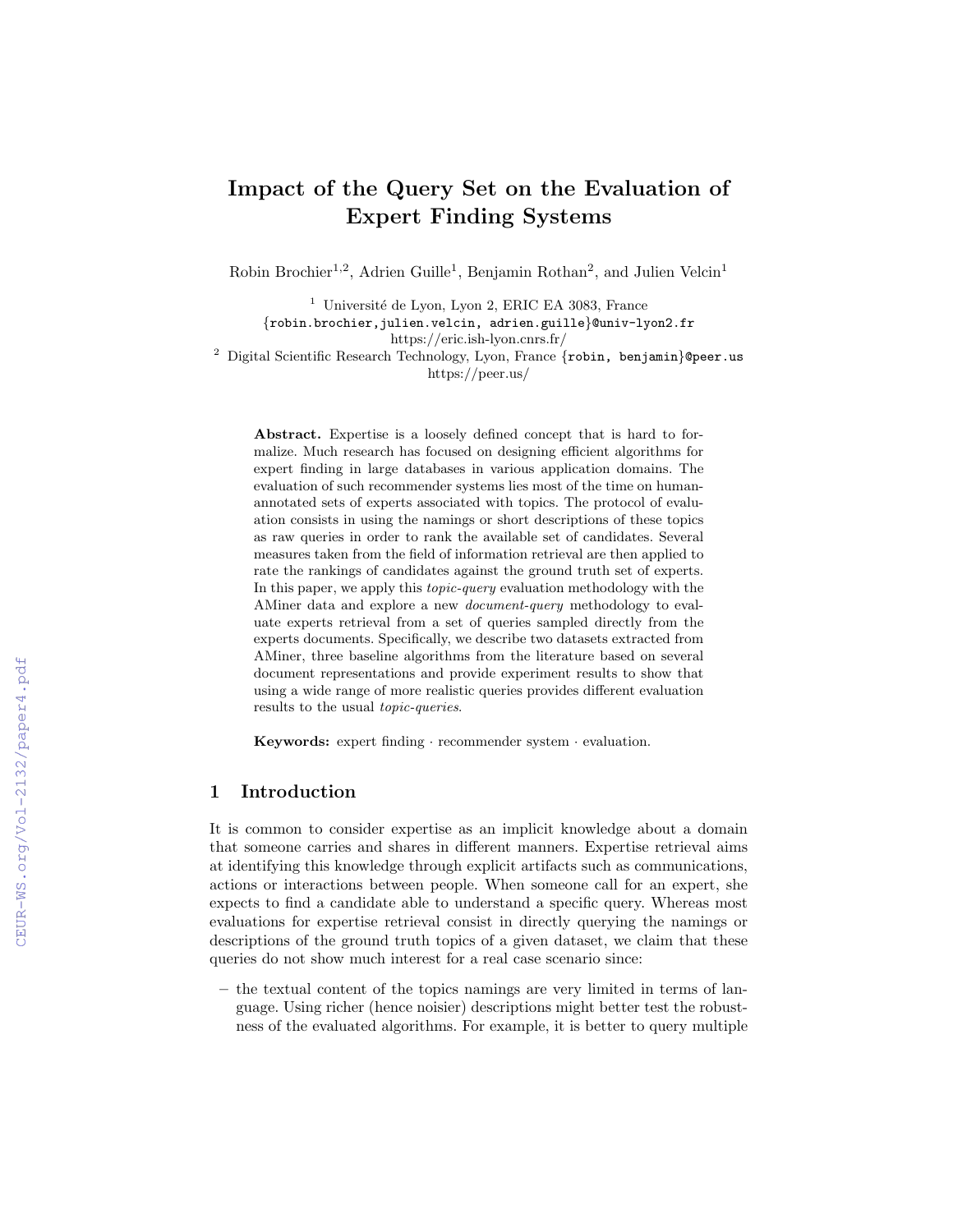# Impact of the Query Set on the Evaluation of Expert Finding Systems

Robin Brochier<sup>1,2</sup>, Adrien Guille<sup>1</sup>, Benjamin Rothan<sup>2</sup>, and Julien Velcin<sup>1</sup>

 $^{\rm 1}$ Université de Lyon, Lyon 2, ERIC EA 3083, France {robin.brochier,julien.velcin, adrien.guille}@univ-lyon2.fr https://eric.ish-lyon.cnrs.fr/

 $2$  Digital Scientific Research Technology, Lyon, France {robin, benjamin}@peer.us https://peer.us/

Abstract. Expertise is a loosely defined concept that is hard to formalize. Much research has focused on designing efficient algorithms for expert finding in large databases in various application domains. The evaluation of such recommender systems lies most of the time on humanannotated sets of experts associated with topics. The protocol of evaluation consists in using the namings or short descriptions of these topics as raw queries in order to rank the available set of candidates. Several measures taken from the field of information retrieval are then applied to rate the rankings of candidates against the ground truth set of experts. In this paper, we apply this *topic-query* evaluation methodology with the AMiner data and explore a new document-query methodology to evaluate experts retrieval from a set of queries sampled directly from the experts documents. Specifically, we describe two datasets extracted from AMiner, three baseline algorithms from the literature based on several document representations and provide experiment results to show that using a wide range of more realistic queries provides different evaluation results to the usual topic-queries.

Keywords: expert finding · recommender system · evaluation.

# 1 Introduction

It is common to consider expertise as an implicit knowledge about a domain that someone carries and shares in different manners. Expertise retrieval aims at identifying this knowledge through explicit artifacts such as communications, actions or interactions between people. When someone call for an expert, she expects to find a candidate able to understand a specific query. Whereas most evaluations for expertise retrieval consist in directly querying the namings or descriptions of the ground truth topics of a given dataset, we claim that these queries do not show much interest for a real case scenario since:

– the textual content of the topics namings are very limited in terms of language. Using richer (hence noisier) descriptions might better test the robustness of the evaluated algorithms. For example, it is better to query multiple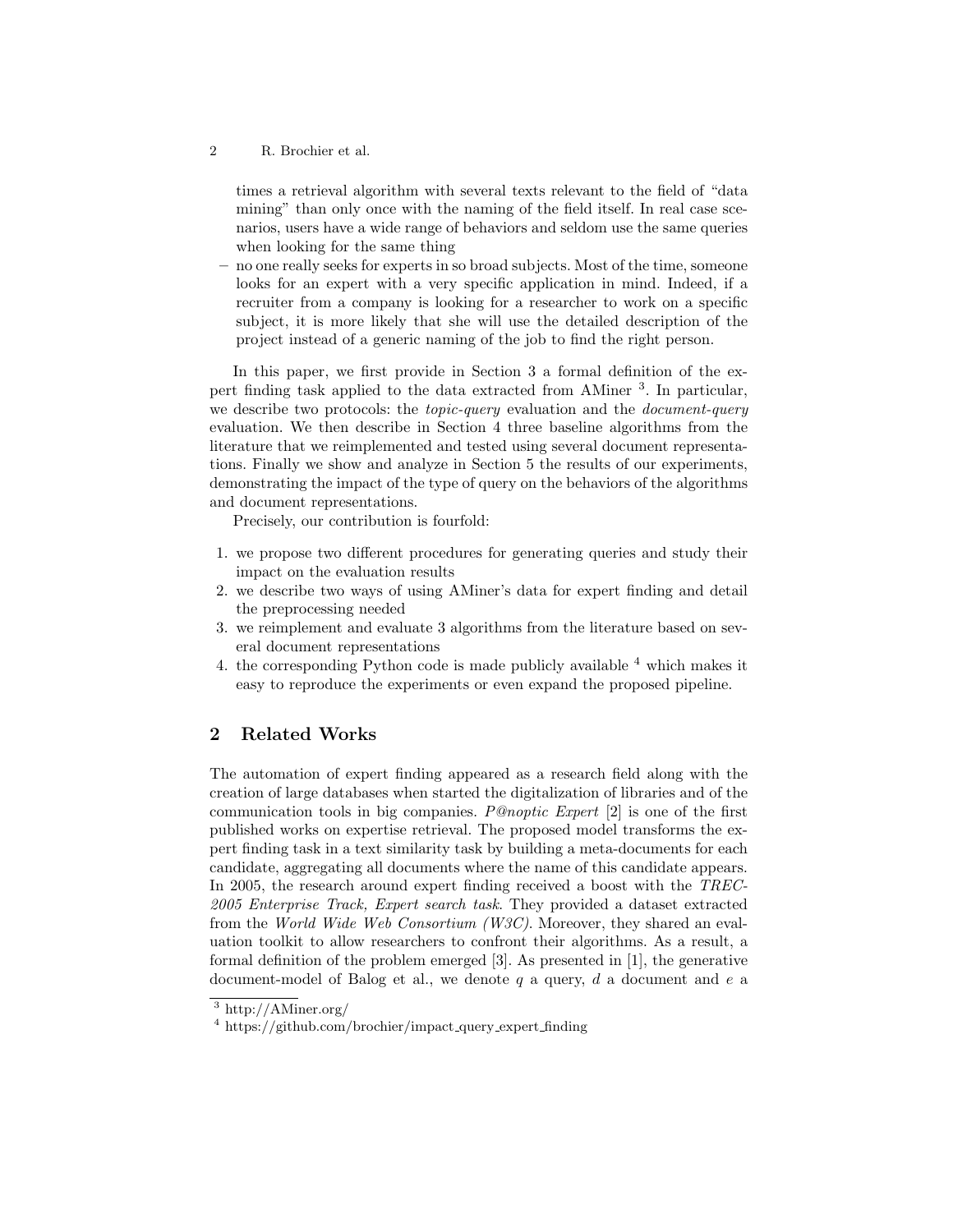times a retrieval algorithm with several texts relevant to the field of "data mining" than only once with the naming of the field itself. In real case scenarios, users have a wide range of behaviors and seldom use the same queries when looking for the same thing

– no one really seeks for experts in so broad subjects. Most of the time, someone looks for an expert with a very specific application in mind. Indeed, if a recruiter from a company is looking for a researcher to work on a specific subject, it is more likely that she will use the detailed description of the project instead of a generic naming of the job to find the right person.

In this paper, we first provide in Section 3 a formal definition of the expert finding task applied to the data extracted from AMiner <sup>3</sup>. In particular, we describe two protocols: the *topic-query* evaluation and the *document-query* evaluation. We then describe in Section 4 three baseline algorithms from the literature that we reimplemented and tested using several document representations. Finally we show and analyze in Section 5 the results of our experiments, demonstrating the impact of the type of query on the behaviors of the algorithms and document representations.

Precisely, our contribution is fourfold:

- 1. we propose two different procedures for generating queries and study their impact on the evaluation results
- 2. we describe two ways of using AMiner's data for expert finding and detail the preprocessing needed
- 3. we reimplement and evaluate 3 algorithms from the literature based on several document representations
- 4. the corresponding Python code is made publicly available  $4$  which makes it easy to reproduce the experiments or even expand the proposed pipeline.

# 2 Related Works

The automation of expert finding appeared as a research field along with the creation of large databases when started the digitalization of libraries and of the communication tools in big companies. P@noptic Expert [2] is one of the first published works on expertise retrieval. The proposed model transforms the expert finding task in a text similarity task by building a meta-documents for each candidate, aggregating all documents where the name of this candidate appears. In 2005, the research around expert finding received a boost with the TREC-2005 Enterprise Track, Expert search task. They provided a dataset extracted from the World Wide Web Consortium (W3C). Moreover, they shared an evaluation toolkit to allow researchers to confront their algorithms. As a result, a formal definition of the problem emerged [3]. As presented in [1], the generative document-model of Balog et al., we denote  $q$  a query,  $d$  a document and  $e$  a

<sup>3</sup> http://AMiner.org/

 $4 \text{ https://github.com/brochier/impact_query-expert-finding}$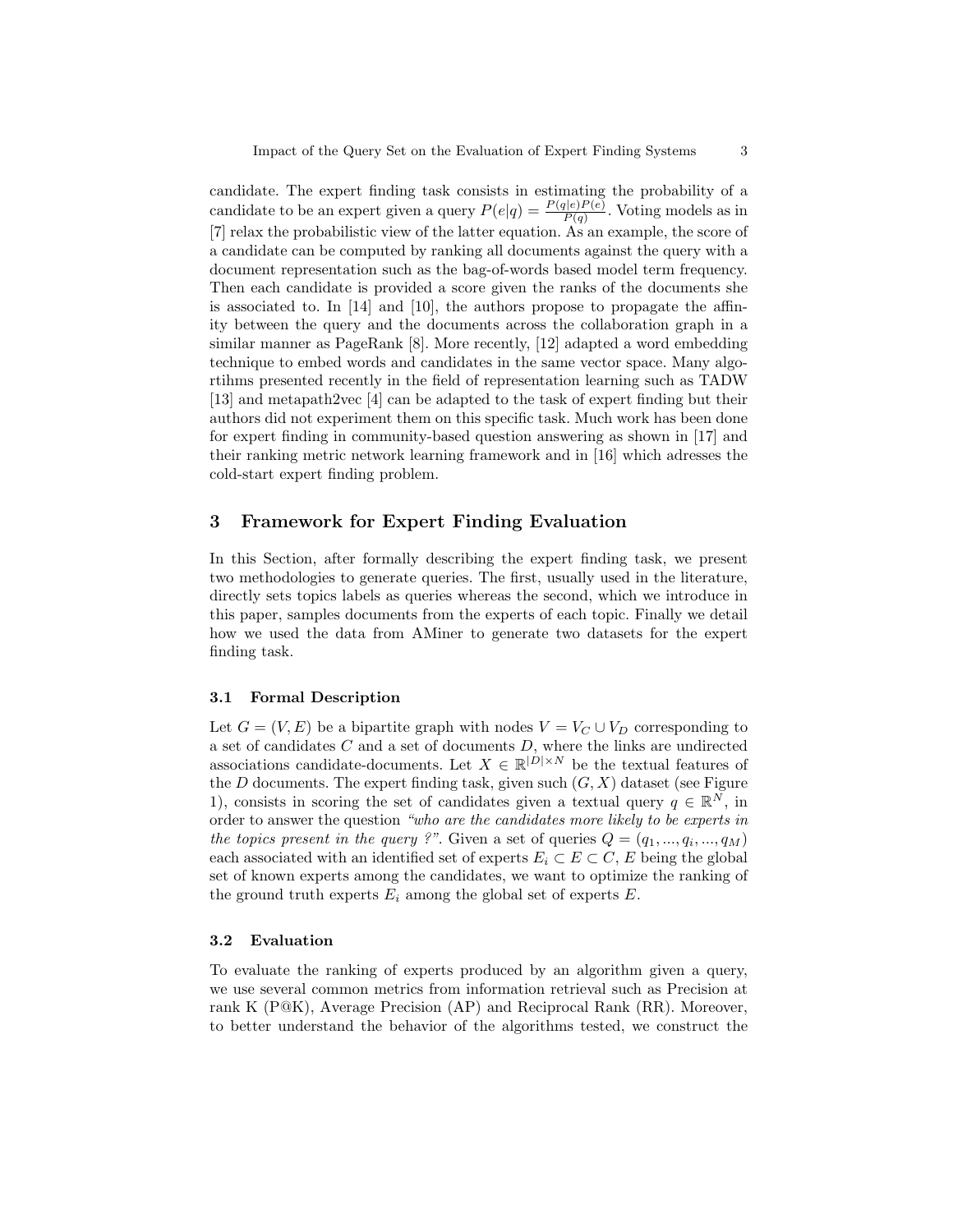candidate. The expert finding task consists in estimating the probability of a candidate to be an expert given a query  $P(e|q) = \frac{P(q|e)P(e)}{P(q)}$ . Voting models as in [7] relax the probabilistic view of the latter equation. As an example, the score of a candidate can be computed by ranking all documents against the query with a document representation such as the bag-of-words based model term frequency. Then each candidate is provided a score given the ranks of the documents she is associated to. In [14] and [10], the authors propose to propagate the affinity between the query and the documents across the collaboration graph in a similar manner as PageRank [8]. More recently, [12] adapted a word embedding technique to embed words and candidates in the same vector space. Many algortihms presented recently in the field of representation learning such as TADW [13] and metapath2vec [4] can be adapted to the task of expert finding but their authors did not experiment them on this specific task. Much work has been done for expert finding in community-based question answering as shown in [17] and their ranking metric network learning framework and in [16] which adresses the cold-start expert finding problem.

# 3 Framework for Expert Finding Evaluation

In this Section, after formally describing the expert finding task, we present two methodologies to generate queries. The first, usually used in the literature, directly sets topics labels as queries whereas the second, which we introduce in this paper, samples documents from the experts of each topic. Finally we detail how we used the data from AMiner to generate two datasets for the expert finding task.

#### 3.1 Formal Description

Let  $G = (V, E)$  be a bipartite graph with nodes  $V = V_C \cup V_D$  corresponding to a set of candidates  $C$  and a set of documents  $D$ , where the links are undirected associations candidate-documents. Let  $X \in \mathbb{R}^{|D| \times N}$  be the textual features of the  $D$  documents. The expert finding task, given such  $(G, X)$  dataset (see Figure 1), consists in scoring the set of candidates given a textual query  $q \in \mathbb{R}^N$ , in order to answer the question "who are the candidates more likely to be experts in the topics present in the query ?". Given a set of queries  $Q = (q_1, ..., q_i, ..., q_M)$ each associated with an identified set of experts  $E_i \subset E \subset C$ , E being the global set of known experts among the candidates, we want to optimize the ranking of the ground truth experts  $E_i$  among the global set of experts  $E$ .

#### 3.2 Evaluation

To evaluate the ranking of experts produced by an algorithm given a query, we use several common metrics from information retrieval such as Precision at rank K (P@K), Average Precision (AP) and Reciprocal Rank (RR). Moreover, to better understand the behavior of the algorithms tested, we construct the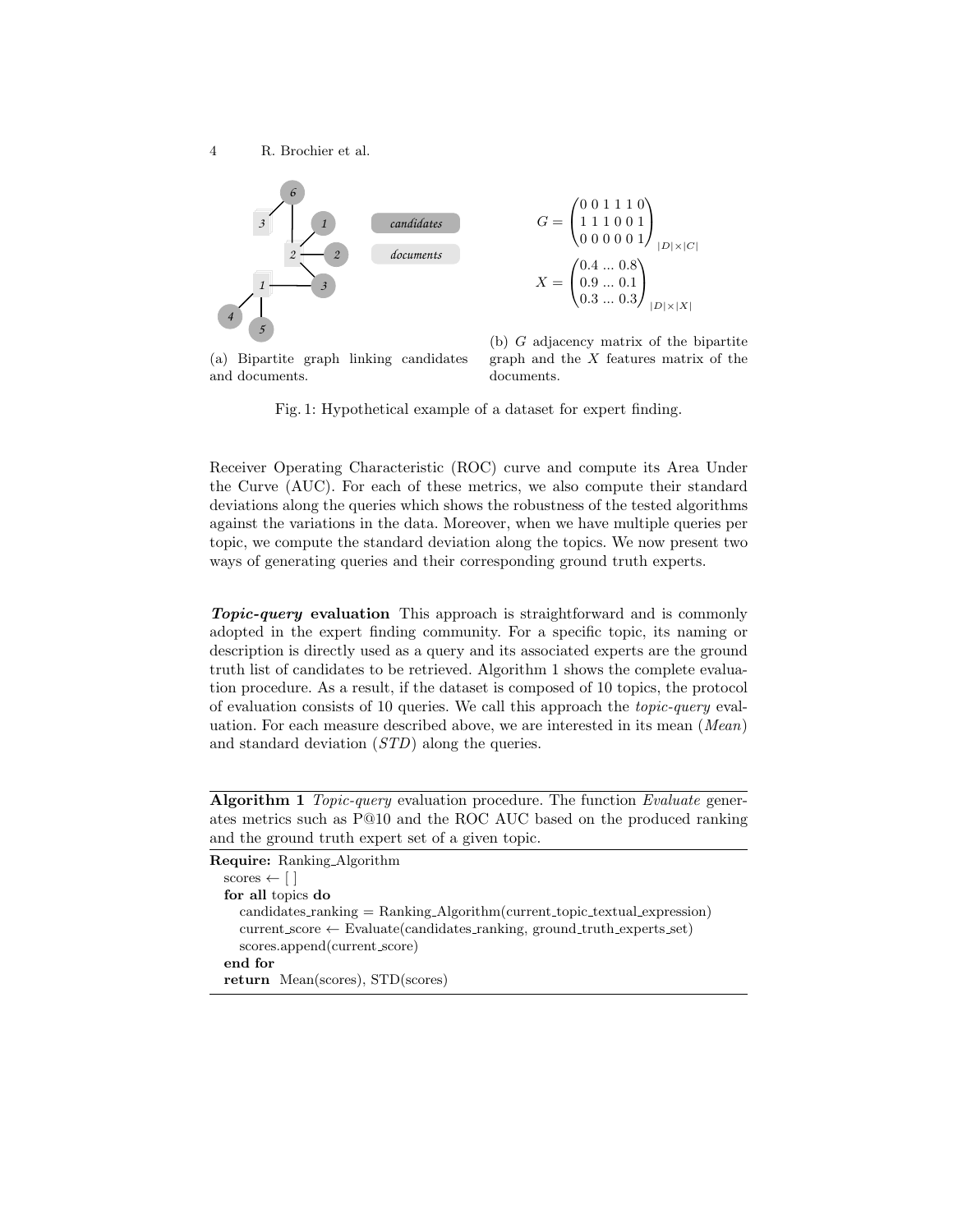4 R. Brochier et al.



(a) Bipartite graph linking candidates and documents.

(b) G adjacency matrix of the bipartite graph and the  $X$  features matrix of the documents.

Fig. 1: Hypothetical example of a dataset for expert finding.

Receiver Operating Characteristic (ROC) curve and compute its Area Under the Curve (AUC). For each of these metrics, we also compute their standard deviations along the queries which shows the robustness of the tested algorithms against the variations in the data. Moreover, when we have multiple queries per topic, we compute the standard deviation along the topics. We now present two ways of generating queries and their corresponding ground truth experts.

Topic-query evaluation This approach is straightforward and is commonly adopted in the expert finding community. For a specific topic, its naming or description is directly used as a query and its associated experts are the ground truth list of candidates to be retrieved. Algorithm 1 shows the complete evaluation procedure. As a result, if the dataset is composed of 10 topics, the protocol of evaluation consists of 10 queries. We call this approach the topic-query evaluation. For each measure described above, we are interested in its mean (Mean) and standard deviation (STD) along the queries.

Algorithm 1 Topic-query evaluation procedure. The function Evaluate generates metrics such as P@10 and the ROC AUC based on the produced ranking and the ground truth expert set of a given topic.

```
Require: Ranking Algorithm
scores \leftarrow \lceil \cdot \rceilfor all topics do
   candidates\_ranking = Ranking Algorithms (current topic textual expression)
   current_score \leftarrow Evaluate(candidates\_ranking, ground\_truth\_expects_set)scores.append(current score)
end for
return Mean(scores), STD(scores)
```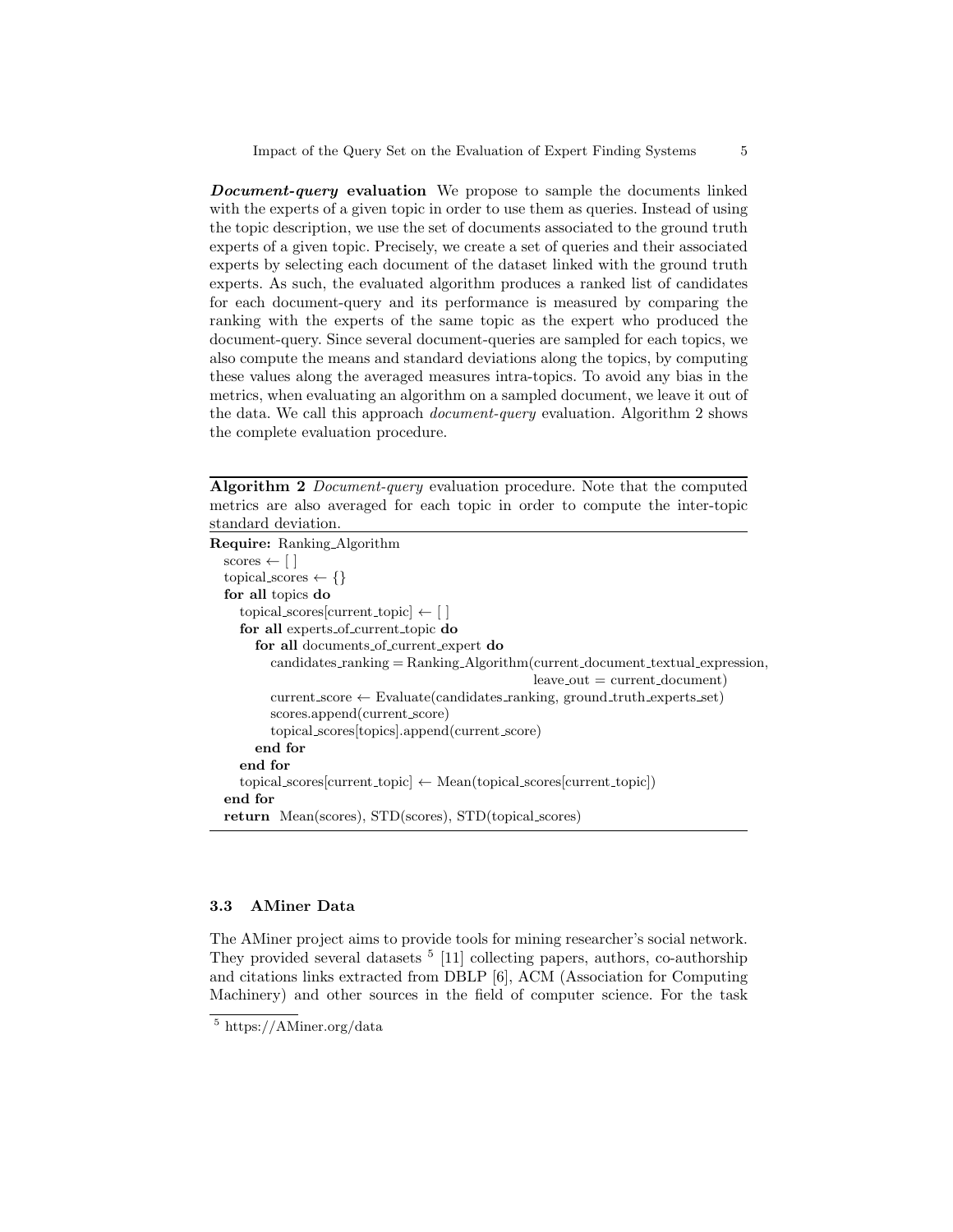**Document-query evaluation** We propose to sample the documents linked with the experts of a given topic in order to use them as queries. Instead of using the topic description, we use the set of documents associated to the ground truth experts of a given topic. Precisely, we create a set of queries and their associated experts by selecting each document of the dataset linked with the ground truth experts. As such, the evaluated algorithm produces a ranked list of candidates for each document-query and its performance is measured by comparing the ranking with the experts of the same topic as the expert who produced the document-query. Since several document-queries are sampled for each topics, we also compute the means and standard deviations along the topics, by computing these values along the averaged measures intra-topics. To avoid any bias in the metrics, when evaluating an algorithm on a sampled document, we leave it out of the data. We call this approach document-query evaluation. Algorithm 2 shows the complete evaluation procedure.

Algorithm 2 Document-query evaluation procedure. Note that the computed metrics are also averaged for each topic in order to compute the inter-topic standard deviation.

| <b>Require:</b> Ranking_Algorithm                                                   |
|-------------------------------------------------------------------------------------|
| scores $\leftarrow \lceil \cdot \rceil$                                             |
| topical scores $\leftarrow \{\}$                                                    |
| for all topics do                                                                   |
| $\text{topical\_scores}[\text{current\_topic}] \leftarrow []$                       |
| for all experts of current topic do                                                 |
| for all documents of current expert do                                              |
| $candidates\_ranking = Ranking\_Algorithm(current_document\_textual\_expression,$   |
| $leave\_out = current\_document)$                                                   |
| $current_score \leftarrow Evaluate(candidates\_ranking, ground-truth\_experts_set)$ |
| scores.append(current_score)                                                        |
| topical_scores[topics].append(current_score)                                        |
| end for                                                                             |
| end for                                                                             |
| $topical_scores[current\_topic] \leftarrow Mean(topical_scores[current\_topic])$    |
| end for                                                                             |
| <b>return</b> Mean(scores), STD(scores), STD(topical_scores)                        |
|                                                                                     |

#### 3.3 AMiner Data

The AMiner project aims to provide tools for mining researcher's social network. They provided several datasets <sup>5</sup> [11] collecting papers, authors, co-authorship and citations links extracted from DBLP [6], ACM (Association for Computing Machinery) and other sources in the field of computer science. For the task

<sup>5</sup> https://AMiner.org/data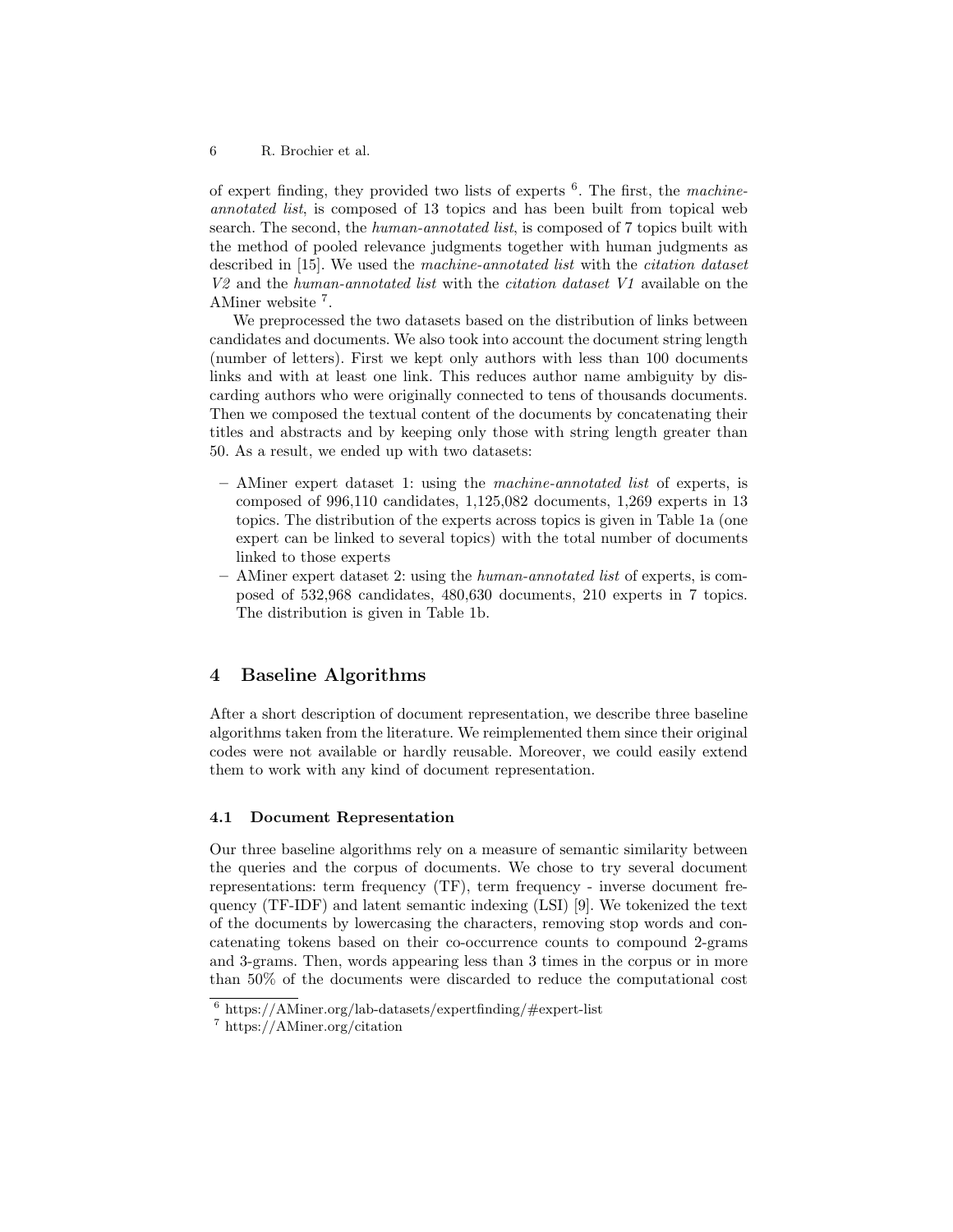of expert finding, they provided two lists of experts  $6$ . The first, the machineannotated list, is composed of 13 topics and has been built from topical web search. The second, the *human-annotated list*, is composed of 7 topics built with the method of pooled relevance judgments together with human judgments as described in [15]. We used the machine-annotated list with the citation dataset  $V2$  and the human-annotated list with the *citation dataset V1* available on the AMiner website <sup>7</sup>.

We preprocessed the two datasets based on the distribution of links between candidates and documents. We also took into account the document string length (number of letters). First we kept only authors with less than 100 documents links and with at least one link. This reduces author name ambiguity by discarding authors who were originally connected to tens of thousands documents. Then we composed the textual content of the documents by concatenating their titles and abstracts and by keeping only those with string length greater than 50. As a result, we ended up with two datasets:

- AMiner expert dataset 1: using the machine-annotated list of experts, is composed of 996,110 candidates, 1,125,082 documents, 1,269 experts in 13 topics. The distribution of the experts across topics is given in Table 1a (one expert can be linked to several topics) with the total number of documents linked to those experts
- $-$  AMiner expert dataset 2: using the *human-annotated list* of experts, is composed of 532,968 candidates, 480,630 documents, 210 experts in 7 topics. The distribution is given in Table 1b.

# 4 Baseline Algorithms

After a short description of document representation, we describe three baseline algorithms taken from the literature. We reimplemented them since their original codes were not available or hardly reusable. Moreover, we could easily extend them to work with any kind of document representation.

#### 4.1 Document Representation

Our three baseline algorithms rely on a measure of semantic similarity between the queries and the corpus of documents. We chose to try several document representations: term frequency (TF), term frequency - inverse document frequency (TF-IDF) and latent semantic indexing (LSI) [9]. We tokenized the text of the documents by lowercasing the characters, removing stop words and concatenating tokens based on their co-occurrence counts to compound 2-grams and 3-grams. Then, words appearing less than 3 times in the corpus or in more than 50% of the documents were discarded to reduce the computational cost

 $6 \text{ https://AMiner.org/lab-datasets/expertfinding/#expert-list}$ 

<sup>7</sup> https://AMiner.org/citation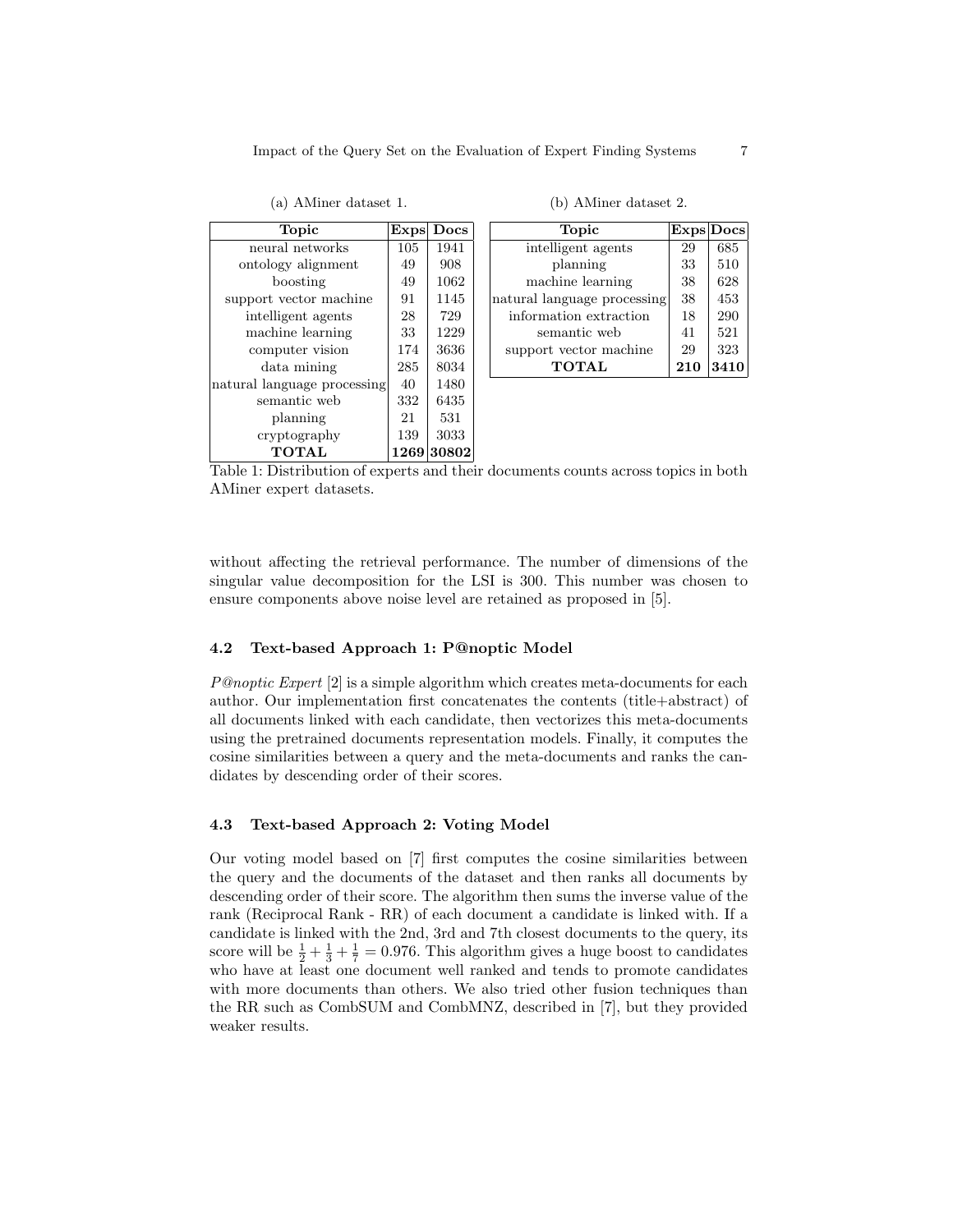(a) AMiner dataset 1.

| <b>Topic</b>                | Exps | Docs  |
|-----------------------------|------|-------|
| neural networks             | 105  | 1941  |
| ontology alignment          | 49   | 908   |
| boosting                    | 49   | 1062  |
| support vector machine      | 91   | 1145  |
| intelligent agents          | 28   | 729   |
| machine learning            | 33   | 1229  |
| computer vision             | 174  | 3636  |
| data mining                 | 285  | 8034  |
| natural language processing | 40   | 1480  |
| semantic web                | 332  | 6435  |
| planning                    | 21   | 531   |
| cryptography                | 139  | 3033  |
| <b>TOTAL</b>                | 1269 | 30802 |

(b) AMiner dataset 2.

| Topic                       | Exps Docs |     |
|-----------------------------|-----------|-----|
| intelligent agents          | 29        | 685 |
| planning                    | 33        | 510 |
| machine learning            | 38        | 628 |
| natural language processing | 38        | 453 |
| information extraction      | 18        | 290 |
| semantic web                | 41        | 521 |
| support vector machine      | 29        | 323 |
| <b>TOTAL</b>                | 210       |     |

Table 1: Distribution of experts and their documents counts across topics in both AMiner expert datasets.

without affecting the retrieval performance. The number of dimensions of the singular value decomposition for the LSI is 300. This number was chosen to ensure components above noise level are retained as proposed in [5].

#### 4.2 Text-based Approach 1: P@noptic Model

P@noptic Expert [2] is a simple algorithm which creates meta-documents for each author. Our implementation first concatenates the contents (title+abstract) of all documents linked with each candidate, then vectorizes this meta-documents using the pretrained documents representation models. Finally, it computes the cosine similarities between a query and the meta-documents and ranks the candidates by descending order of their scores.

#### 4.3 Text-based Approach 2: Voting Model

Our voting model based on [7] first computes the cosine similarities between the query and the documents of the dataset and then ranks all documents by descending order of their score. The algorithm then sums the inverse value of the rank (Reciprocal Rank - RR) of each document a candidate is linked with. If a candidate is linked with the 2nd, 3rd and 7th closest documents to the query, its score will be  $\frac{1}{2} + \frac{1}{3} + \frac{1}{7} = 0.976$ . This algorithm gives a huge boost to candidates who have at least one document well ranked and tends to promote candidates with more documents than others. We also tried other fusion techniques than the RR such as CombSUM and CombMNZ, described in [7], but they provided weaker results.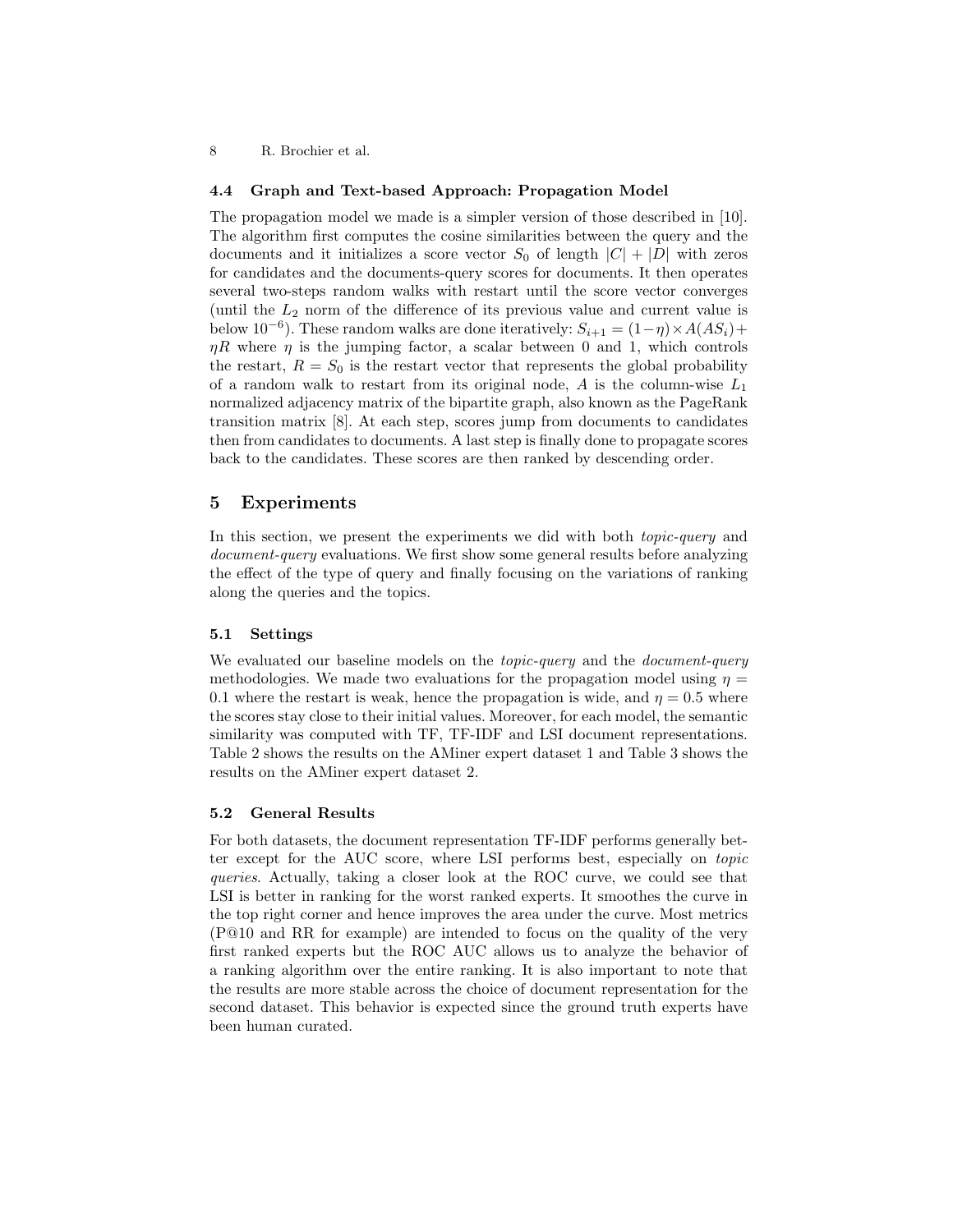#### 4.4 Graph and Text-based Approach: Propagation Model

The propagation model we made is a simpler version of those described in [10]. The algorithm first computes the cosine similarities between the query and the documents and it initializes a score vector  $S_0$  of length  $|C| + |D|$  with zeros for candidates and the documents-query scores for documents. It then operates several two-steps random walks with restart until the score vector converges (until the  $L_2$  norm of the difference of its previous value and current value is below 10<sup>-6</sup>). These random walks are done iteratively:  $S_{i+1} = (1 - \eta) \times A(AS_i) +$  $\eta R$  where  $\eta$  is the jumping factor, a scalar between 0 and 1, which controls the restart,  $R = S_0$  is the restart vector that represents the global probability of a random walk to restart from its original node,  $A$  is the column-wise  $L_1$ normalized adjacency matrix of the bipartite graph, also known as the PageRank transition matrix [8]. At each step, scores jump from documents to candidates then from candidates to documents. A last step is finally done to propagate scores back to the candidates. These scores are then ranked by descending order.

# 5 Experiments

In this section, we present the experiments we did with both *topic-query* and document-query evaluations. We first show some general results before analyzing the effect of the type of query and finally focusing on the variations of ranking along the queries and the topics.

#### 5.1 Settings

We evaluated our baseline models on the *topic-query* and the *document-query* methodologies. We made two evaluations for the propagation model using  $\eta =$ 0.1 where the restart is weak, hence the propagation is wide, and  $\eta = 0.5$  where the scores stay close to their initial values. Moreover, for each model, the semantic similarity was computed with TF, TF-IDF and LSI document representations. Table 2 shows the results on the AMiner expert dataset 1 and Table 3 shows the results on the AMiner expert dataset 2.

#### 5.2 General Results

For both datasets, the document representation TF-IDF performs generally better except for the AUC score, where LSI performs best, especially on topic queries. Actually, taking a closer look at the ROC curve, we could see that LSI is better in ranking for the worst ranked experts. It smoothes the curve in the top right corner and hence improves the area under the curve. Most metrics (P@10 and RR for example) are intended to focus on the quality of the very first ranked experts but the ROC AUC allows us to analyze the behavior of a ranking algorithm over the entire ranking. It is also important to note that the results are more stable across the choice of document representation for the second dataset. This behavior is expected since the ground truth experts have been human curated.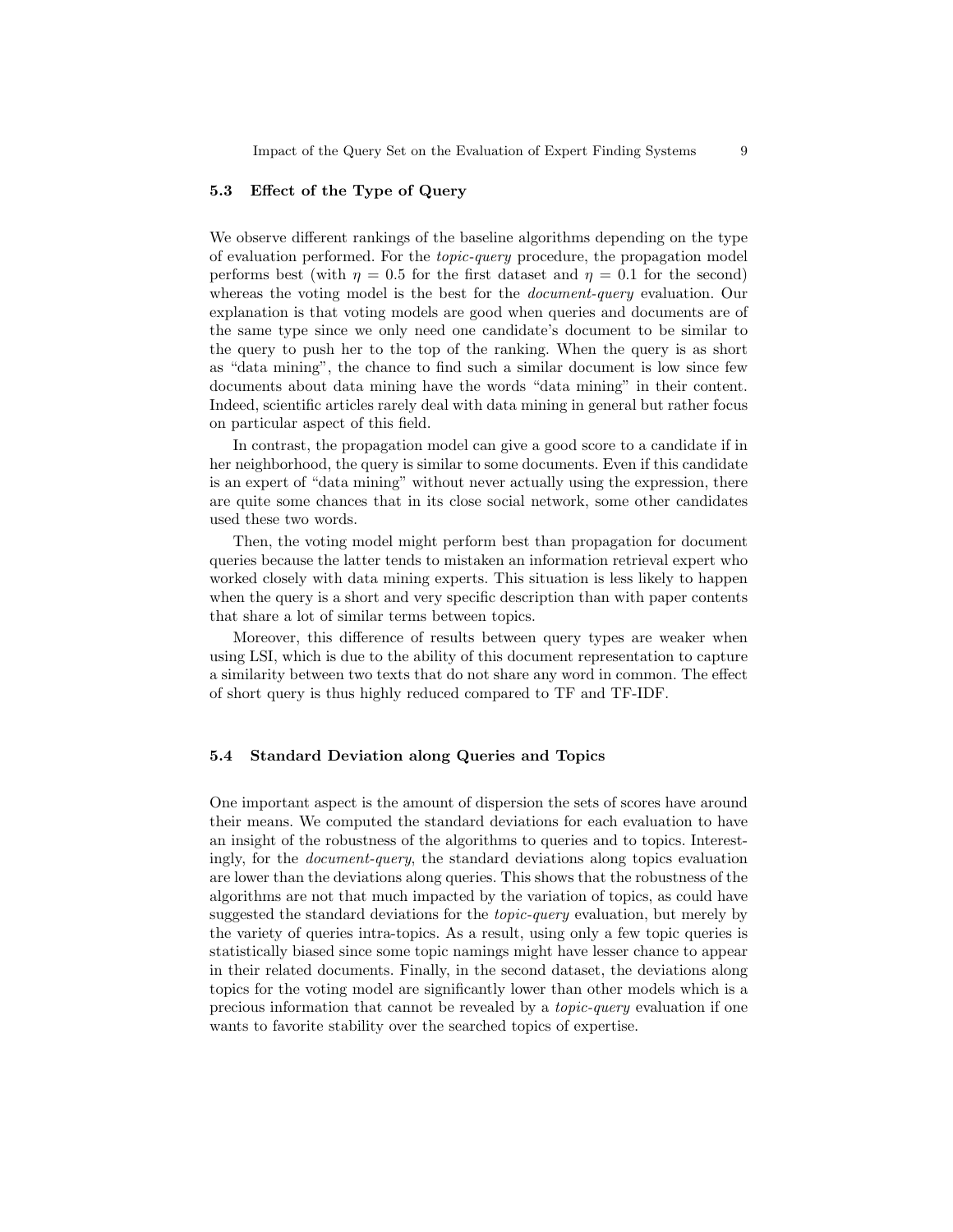#### 5.3 Effect of the Type of Query

We observe different rankings of the baseline algorithms depending on the type of evaluation performed. For the topic-query procedure, the propagation model performs best (with  $\eta = 0.5$  for the first dataset and  $\eta = 0.1$  for the second) whereas the voting model is the best for the *document-query* evaluation. Our explanation is that voting models are good when queries and documents are of the same type since we only need one candidate's document to be similar to the query to push her to the top of the ranking. When the query is as short as "data mining", the chance to find such a similar document is low since few documents about data mining have the words "data mining" in their content. Indeed, scientific articles rarely deal with data mining in general but rather focus on particular aspect of this field.

In contrast, the propagation model can give a good score to a candidate if in her neighborhood, the query is similar to some documents. Even if this candidate is an expert of "data mining" without never actually using the expression, there are quite some chances that in its close social network, some other candidates used these two words.

Then, the voting model might perform best than propagation for document queries because the latter tends to mistaken an information retrieval expert who worked closely with data mining experts. This situation is less likely to happen when the query is a short and very specific description than with paper contents that share a lot of similar terms between topics.

Moreover, this difference of results between query types are weaker when using LSI, which is due to the ability of this document representation to capture a similarity between two texts that do not share any word in common. The effect of short query is thus highly reduced compared to TF and TF-IDF.

#### 5.4 Standard Deviation along Queries and Topics

One important aspect is the amount of dispersion the sets of scores have around their means. We computed the standard deviations for each evaluation to have an insight of the robustness of the algorithms to queries and to topics. Interestingly, for the document-query, the standard deviations along topics evaluation are lower than the deviations along queries. This shows that the robustness of the algorithms are not that much impacted by the variation of topics, as could have suggested the standard deviations for the *topic-query* evaluation, but merely by the variety of queries intra-topics. As a result, using only a few topic queries is statistically biased since some topic namings might have lesser chance to appear in their related documents. Finally, in the second dataset, the deviations along topics for the voting model are significantly lower than other models which is a precious information that cannot be revealed by a topic-query evaluation if one wants to favorite stability over the searched topics of expertise.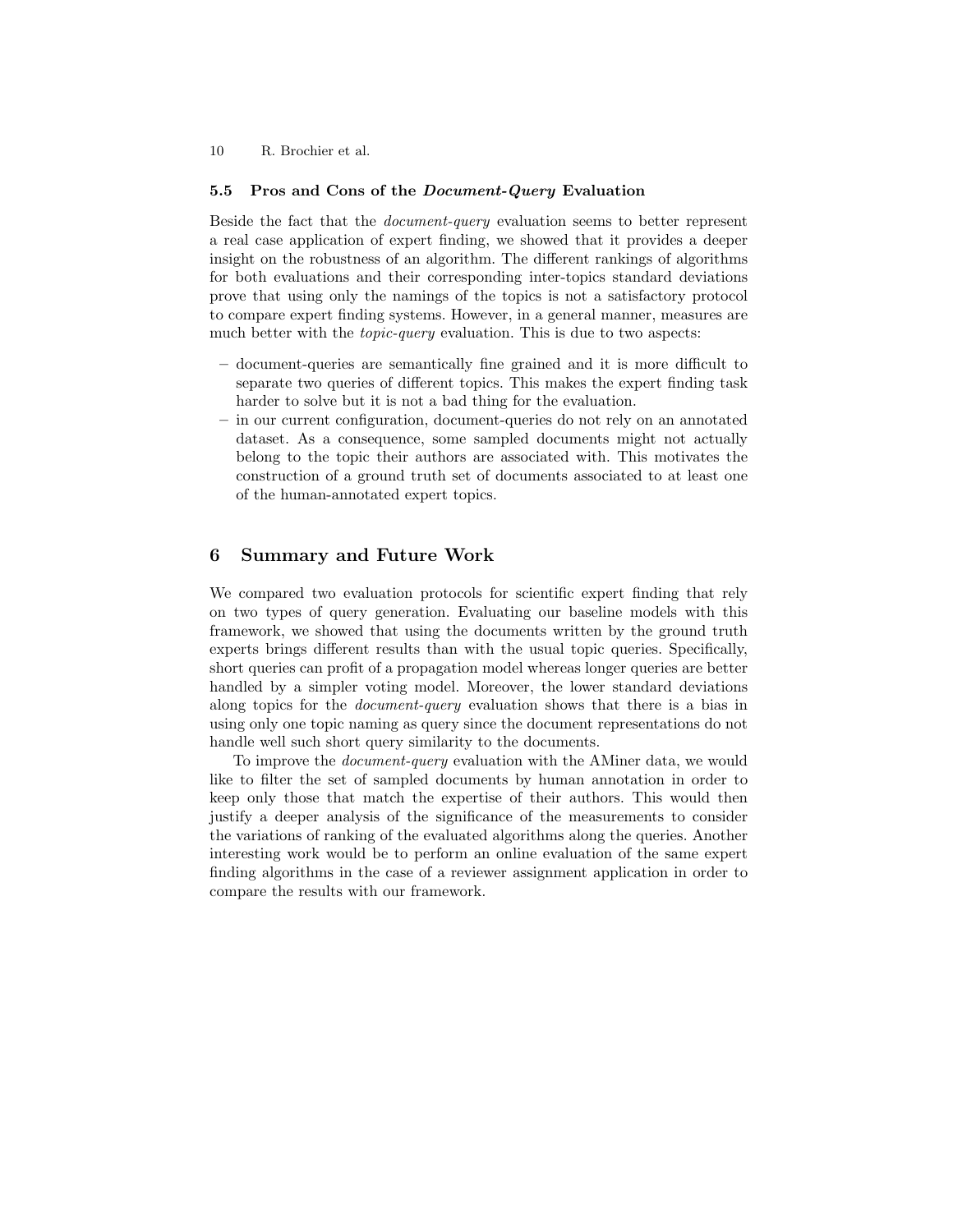#### 5.5 Pros and Cons of the *Document-Query* Evaluation

Beside the fact that the document-query evaluation seems to better represent a real case application of expert finding, we showed that it provides a deeper insight on the robustness of an algorithm. The different rankings of algorithms for both evaluations and their corresponding inter-topics standard deviations prove that using only the namings of the topics is not a satisfactory protocol to compare expert finding systems. However, in a general manner, measures are much better with the *topic-query* evaluation. This is due to two aspects:

- document-queries are semantically fine grained and it is more difficult to separate two queries of different topics. This makes the expert finding task harder to solve but it is not a bad thing for the evaluation.
- in our current configuration, document-queries do not rely on an annotated dataset. As a consequence, some sampled documents might not actually belong to the topic their authors are associated with. This motivates the construction of a ground truth set of documents associated to at least one of the human-annotated expert topics.

# 6 Summary and Future Work

We compared two evaluation protocols for scientific expert finding that rely on two types of query generation. Evaluating our baseline models with this framework, we showed that using the documents written by the ground truth experts brings different results than with the usual topic queries. Specifically, short queries can profit of a propagation model whereas longer queries are better handled by a simpler voting model. Moreover, the lower standard deviations along topics for the document-query evaluation shows that there is a bias in using only one topic naming as query since the document representations do not handle well such short query similarity to the documents.

To improve the document-query evaluation with the AMiner data, we would like to filter the set of sampled documents by human annotation in order to keep only those that match the expertise of their authors. This would then justify a deeper analysis of the significance of the measurements to consider the variations of ranking of the evaluated algorithms along the queries. Another interesting work would be to perform an online evaluation of the same expert finding algorithms in the case of a reviewer assignment application in order to compare the results with our framework.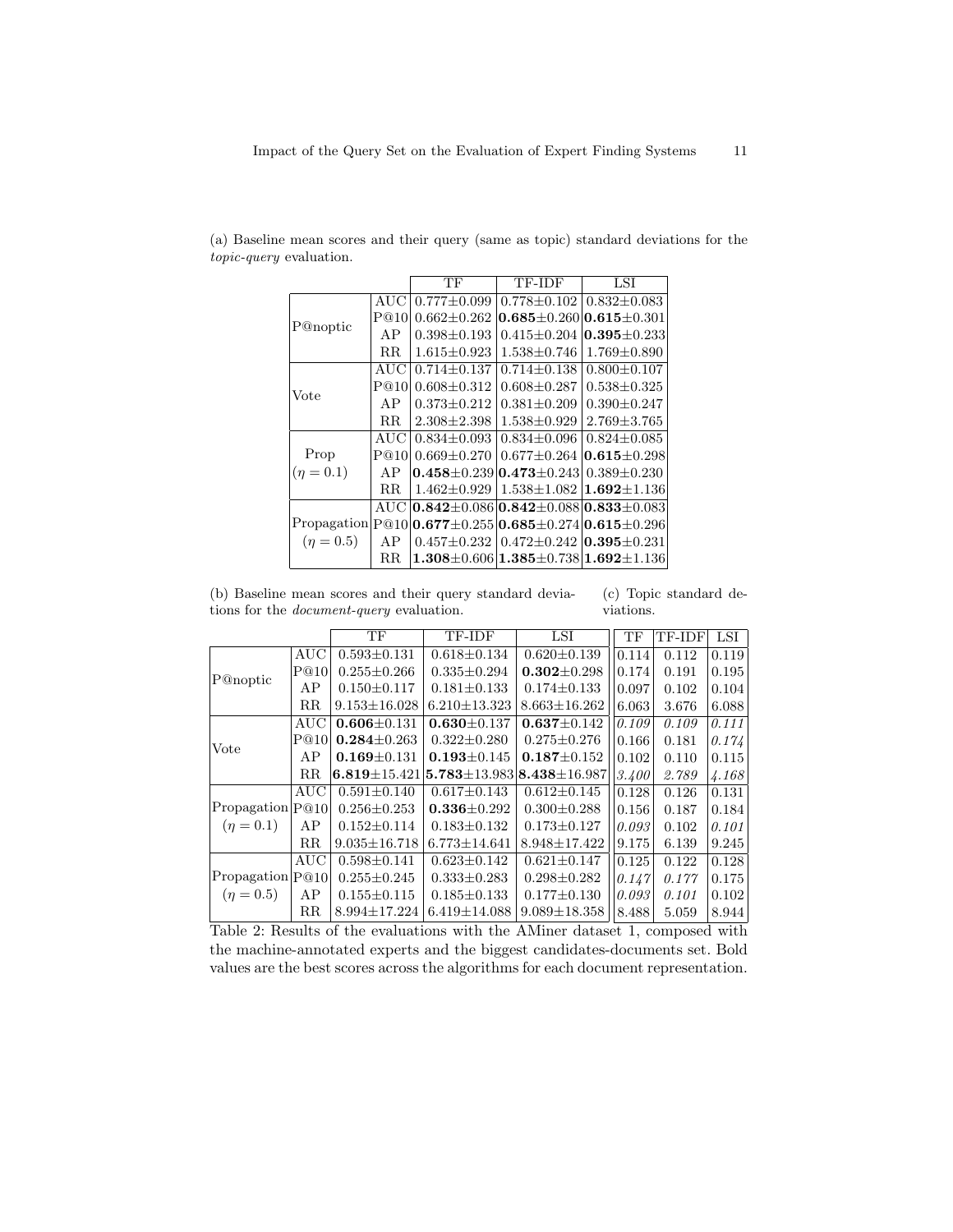|                  |      | TF                | TF-IDF                                                    | LSI               |
|------------------|------|-------------------|-----------------------------------------------------------|-------------------|
|                  | AUC  | $0.777 \pm 0.099$ | $0.778 \pm 0.102$                                         | $0.832 + 0.083$   |
|                  | P@10 | $0.662 \pm 0.262$ | $0.685 \pm 0.260   0.615 \pm 0.301$                       |                   |
| P@noptic         | AP   | $0.398 \pm 0.193$ | $0.415 \pm 0.204$                                         | $0.395 + 0.233$   |
|                  | R.R. | $1.615 \pm 0.923$ | $1.538 \pm 0.746$                                         | $1.769 \pm 0.890$ |
|                  | AUC  | $0.714 + 0.137$   | $0.714 + 0.138$                                           | $0.800 \pm 0.107$ |
| Vote             | P@10 | $0.608 \pm 0.312$ | $0.608 \pm 0.287$                                         | $0.538 \pm 0.325$ |
|                  | AP   | $0.373 \pm 0.212$ | $0.381 \pm 0.209$                                         | $0.390 \pm 0.247$ |
|                  | R.R. | $2.308 \pm 2.398$ | $1.538 \pm 0.929$                                         | $2.769 \pm 3.765$ |
|                  | AUC  | $0.834 \pm 0.093$ | $0.834 \pm 0.096$                                         | $0.824 \pm 0.085$ |
| Prop             | P@10 | $0.669 + 0.270$   | $0.677 + 0.264$                                           | $ 0.615 + 0.298$  |
| $(\eta = 0.1)$   | AP   |                   | $0.458 \pm 0.239$ $0.473 \pm 0.243$                       | $0.389 \pm 0.230$ |
|                  | R.R. | $1.462 \pm 0.929$ | $1.538 \pm 1.082$                                         | $1.692 \pm 1.136$ |
|                  | AUC  |                   | $0.842 \pm 0.086$ $0.842 \pm 0.088$ $0.833 \pm 0.083$     |                   |
| Propagation P@10 |      |                   | $0.677 \pm 0.255$ $0.685 \pm 0.274$ $0.615 \pm 0.296$     |                   |
| $(\eta = 0.5)$   | AP   | $0.457 \pm 0.232$ | $0.472 \pm 0.242$ $\vert 0.395 \pm 0.231$                 |                   |
|                  | R.R. |                   | $1.308 \pm 0.606$   $1.385 \pm 0.738$   $1.692 \pm 1.136$ |                   |

(a) Baseline mean scores and their query (same as topic) standard deviations for the topic-query evaluation.

(b) Baseline mean scores and their query standard deviations for the document-query evaluation. (c) Topic standard deviations.

|                                     |             | TF                 | TF-IDF                                   | LSI                | TF                  | TF-IDF | LSI   |
|-------------------------------------|-------------|--------------------|------------------------------------------|--------------------|---------------------|--------|-------|
|                                     | AUC         | $0.593 \pm 0.131$  | $0.618 \pm 0.134$                        | $0.620 \pm 0.139$  | 0.114               | 0.112  | 0.119 |
|                                     | P@10        | $0.255 \pm 0.266$  | $0.335 \pm 0.294$                        | $0.302 \pm 0.298$  | 0.174               | 0.191  | 0.195 |
| P@noptic                            | AP          | $0.150 \pm 0.117$  | $0.181 \pm 0.133$                        | $0.174 \pm 0.133$  | 0.097               | 0.102  | 0.104 |
|                                     | $_{\rm RR}$ | $9.153 \pm 16.028$ | $6.210 \pm 13.323$                       | $8.663 \pm 16.262$ | 6.063               | 3.676  | 6.088 |
|                                     | AUC         | $0.606 \pm 0.131$  | $0.630 \pm 0.137$                        | $0.637 \pm 0.142$  | 0.109               | 0.109  | 0.111 |
| Vote                                | P@10        | $0.284 \pm 0.263$  | $0.322 \pm 0.280$                        | $0.275 \pm 0.276$  | 0.166               | 0.181  | 0.174 |
|                                     | AP          | $0.169 \pm 0.131$  | $0.193 \pm 0.145$                        | $0.187 \pm 0.152$  | 0.102               | 0.110  | 0.115 |
|                                     | $_{\rm RR}$ | $6.819 \pm 15.421$ | $5.783 \pm 13.983 \mid 8.438 \pm 16.987$ |                    | $\vert 3.400 \vert$ | 2.789  | 4.168 |
| Propagation P@10 <br>$(\eta = 0.1)$ | AUC         | $0.591 \pm 0.140$  | $0.617 \pm 0.143$                        | $0.612 \pm 0.145$  | 0.128               | 0.126  | 0.131 |
|                                     |             | $0.256 \pm 0.253$  | $0.336 \pm 0.292$                        | $0.300 \pm 0.288$  | 0.156               | 0.187  | 0.184 |
|                                     | AP          | $0.152 \pm 0.114$  | $0.183 \pm 0.132$                        | $0.173 \pm 0.127$  | 0.093               | 0.102  | 0.101 |
|                                     | $_{\rm RR}$ | $9.035 \pm 16.718$ | $6.773 \pm 14.641$                       | $8.948 \pm 17.422$ | 9.175               | 6.139  | 9.245 |
| Propagation P@10                    | AUC         | $0.598 \pm 0.141$  | $0.623 \pm 0.142$                        | $0.621 \pm 0.147$  | 0.125               | 0.122  | 0.128 |
|                                     |             | $0.255 \pm 0.245$  | $0.333 \pm 0.283$                        | $0.298 \pm 0.282$  | 0.147               | 0.177  | 0.175 |
| $(\eta = 0.5)$                      | AΡ          | $0.155 \pm 0.115$  | $0.185 \pm 0.133$                        | $0.177 \pm 0.130$  | 0.093               | 0.101  | 0.102 |
|                                     | $_{\rm RR}$ | $8.994 \pm 17.224$ | $6.419 \pm 14.088$                       | $9.089 \pm 18.358$ | 8.488               | 5.059  | 8.944 |

Table 2: Results of the evaluations with the AMiner dataset 1, composed with the machine-annotated experts and the biggest candidates-documents set. Bold values are the best scores across the algorithms for each document representation.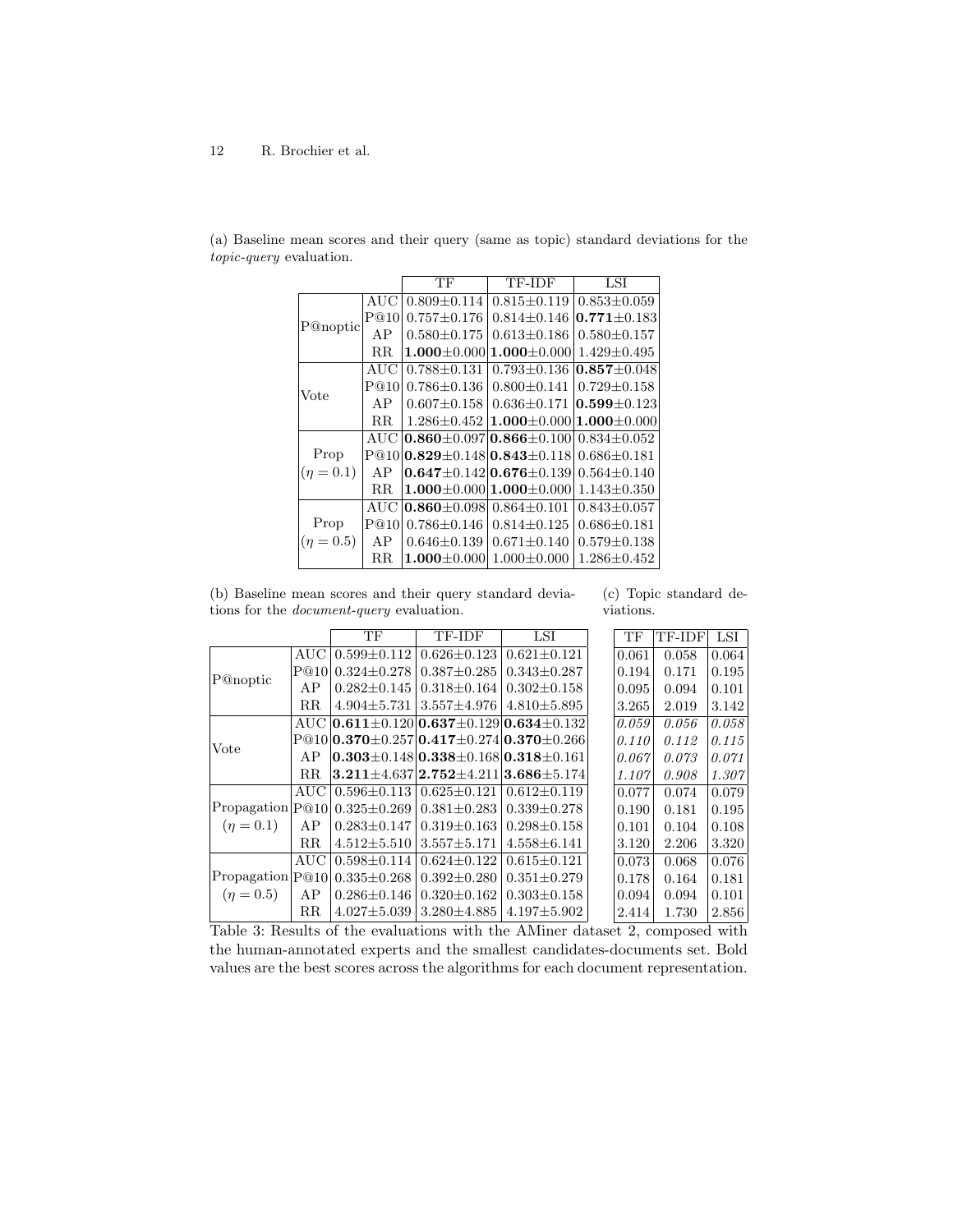|             |             | ТF                                       | TF-IDF                              | LSI               |
|-------------|-------------|------------------------------------------|-------------------------------------|-------------------|
|             | AUC         | $0.809 \pm 0.114$                        | $0.815 \pm 0.119$                   | $0.853 \pm 0.059$ |
|             | P@10        | $0.757 + 0.176$                          | $0.814 + 0.146$                     | $0.771 + 0.183$   |
| P@noptic    | AP          | $0.580 \pm 0.175$                        | $0.613 \pm 0.186$                   | $0.580 \pm 0.157$ |
|             | $_{\rm RR}$ | $1.000 \pm 0.000$                        | $1.000 {\pm} 0.000$                 | $1.429 \pm 0.495$ |
|             | AUC         | $0.788 \pm 0.131$                        | $0.793 \pm 0.136$                   | $0.857 \pm 0.048$ |
| Vote        | P@10        | $0.786 \pm 0.136$                        | $0.800 \pm 0.141$                   | $0.729 \pm 0.158$ |
|             | AP          | $0.607 \pm 0.158$                        | $0.636 \pm 0.171$                   | $0.599 \pm 0.123$ |
|             | $_{\rm RR}$ | $1.286 + 0.452$                          | $1.000 \pm 0.000$ $1.000 \pm 0.000$ |                   |
|             | AUC         |                                          | $0.860 \pm 0.097$ $0.866 \pm 0.100$ | $0.834 + 0.052$   |
| Prop        |             | $P@10 0.829\pm0.148 0.843\pm0.118 $      |                                     | $0.686 \pm 0.181$ |
| $(n = 0.1)$ | AP          | $0.647 \pm 0.142 \times 0.676 \pm 0.139$ |                                     | $0.564 \pm 0.140$ |
|             | $\rm RR$    |                                          | $1.000 \pm 0.000$ $1.000 \pm 0.000$ | $1.143 \pm 0.350$ |
|             | AUC         | $0.860 \pm 0.098$                        | $0.864 \pm 0.101$                   | $0.843 \pm 0.057$ |
| Prop        | P@10        | $0.786 \pm 0.146$                        | $0.814 \pm 0.125$                   | $0.686 \pm 0.181$ |
| $(n = 0.5)$ | AP          | $0.646 \pm 0.139$                        | $0.671 \pm 0.140$                   | $0.579 \pm 0.138$ |
|             | RR          | $1.000 \pm 0.000$                        | $1.000 \pm 0.000$                   | $1.286 \pm 0.452$ |

(a) Baseline mean scores and their query (same as topic) standard deviations for the topic-query evaluation.

(b) Baseline mean scores and their query standard deviations for the document-query evaluation.

(c) Topic standard deviations.

|                  |             | TF                                    | TF-IDF                                                                        | LSI               | TF    | TF-IDF | LSI   |
|------------------|-------------|---------------------------------------|-------------------------------------------------------------------------------|-------------------|-------|--------|-------|
| P@noptic         | AUC-        | $0.599 + 0.112$                       | $0.626 + 0.123$                                                               | $0.621 \pm 0.121$ | 0.061 | 0.058  | 0.064 |
|                  | P@10        | $0.324 + 0.278$                       | $0.387 \pm 0.285$                                                             | $0.343 \pm 0.287$ | 0.194 | 0.171  | 0.195 |
|                  | AP          | $0.282 + 0.145$                       | $0.318 \pm 0.164$                                                             | $0.302 \pm 0.158$ | 0.095 | 0.094  | 0.101 |
|                  | $_{\rm RR}$ | $4.904 \pm 5.731$                     | $3.557 \pm 4.976$                                                             | $4.810 \pm 5.895$ | 3.265 | 2.019  | 3.142 |
|                  |             |                                       | AUC $\vert 0.611 \pm 0.120 \vert 0.637 \pm 0.129 \vert 0.634 \pm 0.132 \vert$ |                   | 0.059 | 0.056  | 0.058 |
| Vote             |             |                                       | $P@10 0.370 \pm 0.257 0.417 \pm 0.274 0.370 \pm 0.266 $                       |                   | 0.110 | 0.112  | 0.115 |
|                  | AP          |                                       | $0.303 \pm 0.148 \, 0.338 \pm 0.168 \, 0.318 \pm 0.161$                       |                   | 0.067 | 0.073  | 0.071 |
|                  | $_{\rm RR}$ |                                       | $3.211\pm4.637$  2.752 $\pm4.211$  3.686 $\pm5.174$                           |                   | 1.107 | 0.908  | 1.307 |
|                  | AUC         | $0.596 \pm 0.113$   $0.625 \pm 0.121$ |                                                                               | $0.612 \pm 0.119$ | 0.077 | 0.074  | 0.079 |
| Propagation P@10 |             |                                       | $0.325 \pm 0.269$   $0.381 \pm 0.283$                                         | $0.339 \pm 0.278$ | 0.190 | 0.181  | 0.195 |
| $(n = 0.1)$      | AP          |                                       | $0.283 \pm 0.147$   $0.319 \pm 0.163$                                         | $0.298 \pm 0.158$ | 0.101 | 0.104  | 0.108 |
|                  | $_{\rm RR}$ | $4.512 \pm 5.510$                     | $3.557 \pm 5.171$                                                             | $4.558 \pm 6.141$ | 3.120 | 2.206  | 3.320 |
| Propagation P@10 | AUC         | $0.598 + 0.114$                       | $0.624 \pm 0.122$                                                             | $0.615 + 0.121$   | 0.073 | 0.068  | 0.076 |
|                  |             | $0.335 \pm 0.268$                     | $0.392 + 0.280$                                                               | $0.351 \pm 0.279$ | 0.178 | 0.164  | 0.181 |
| $(\eta = 0.5)$   | AP          | $0.286 \pm 0.146$                     | $0.320 \pm 0.162$                                                             | $0.303 \pm 0.158$ | 0.094 | 0.094  | 0.101 |
|                  | $_{\rm RR}$ | $4.027 \pm 5.039$                     | $3.280 \pm 4.885$                                                             | $4.197 \pm 5.902$ | 2.414 | 1.730  | 2.856 |

Table 3: Results of the evaluations with the AMiner dataset 2, composed with the human-annotated experts and the smallest candidates-documents set. Bold values are the best scores across the algorithms for each document representation.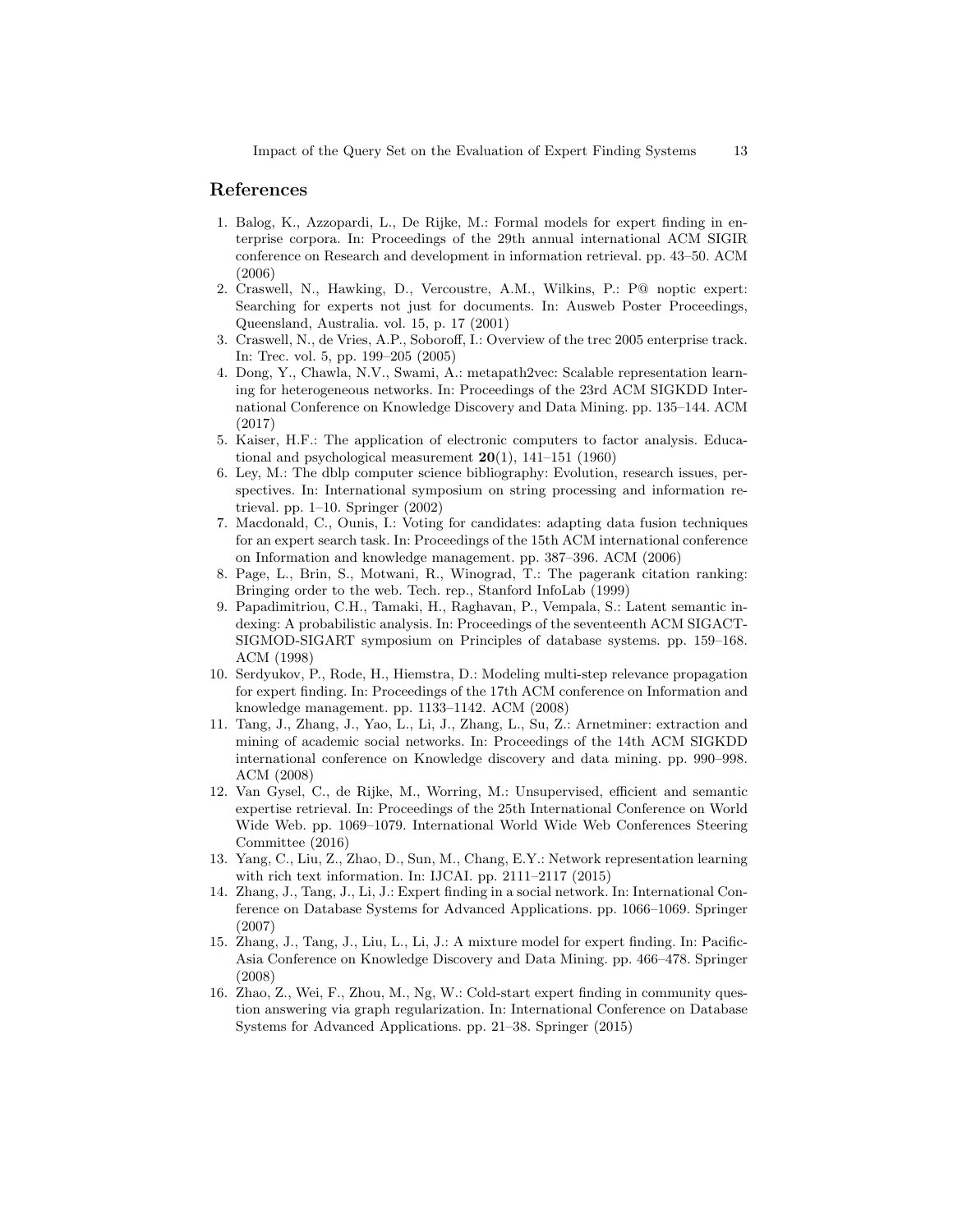# References

- 1. Balog, K., Azzopardi, L., De Rijke, M.: Formal models for expert finding in enterprise corpora. In: Proceedings of the 29th annual international ACM SIGIR conference on Research and development in information retrieval. pp. 43–50. ACM (2006)
- 2. Craswell, N., Hawking, D., Vercoustre, A.M., Wilkins, P.: P@ noptic expert: Searching for experts not just for documents. In: Ausweb Poster Proceedings, Queensland, Australia. vol. 15, p. 17 (2001)
- 3. Craswell, N., de Vries, A.P., Soboroff, I.: Overview of the trec 2005 enterprise track. In: Trec. vol. 5, pp. 199–205 (2005)
- 4. Dong, Y., Chawla, N.V., Swami, A.: metapath2vec: Scalable representation learning for heterogeneous networks. In: Proceedings of the 23rd ACM SIGKDD International Conference on Knowledge Discovery and Data Mining. pp. 135–144. ACM (2017)
- 5. Kaiser, H.F.: The application of electronic computers to factor analysis. Educational and psychological measurement  $20(1)$ , 141–151 (1960)
- 6. Ley, M.: The dblp computer science bibliography: Evolution, research issues, perspectives. In: International symposium on string processing and information retrieval. pp. 1–10. Springer (2002)
- 7. Macdonald, C., Ounis, I.: Voting for candidates: adapting data fusion techniques for an expert search task. In: Proceedings of the 15th ACM international conference on Information and knowledge management. pp. 387–396. ACM (2006)
- 8. Page, L., Brin, S., Motwani, R., Winograd, T.: The pagerank citation ranking: Bringing order to the web. Tech. rep., Stanford InfoLab (1999)
- 9. Papadimitriou, C.H., Tamaki, H., Raghavan, P., Vempala, S.: Latent semantic indexing: A probabilistic analysis. In: Proceedings of the seventeenth ACM SIGACT-SIGMOD-SIGART symposium on Principles of database systems. pp. 159–168. ACM (1998)
- 10. Serdyukov, P., Rode, H., Hiemstra, D.: Modeling multi-step relevance propagation for expert finding. In: Proceedings of the 17th ACM conference on Information and knowledge management. pp. 1133–1142. ACM (2008)
- 11. Tang, J., Zhang, J., Yao, L., Li, J., Zhang, L., Su, Z.: Arnetminer: extraction and mining of academic social networks. In: Proceedings of the 14th ACM SIGKDD international conference on Knowledge discovery and data mining. pp. 990–998. ACM (2008)
- 12. Van Gysel, C., de Rijke, M., Worring, M.: Unsupervised, efficient and semantic expertise retrieval. In: Proceedings of the 25th International Conference on World Wide Web. pp. 1069–1079. International World Wide Web Conferences Steering Committee (2016)
- 13. Yang, C., Liu, Z., Zhao, D., Sun, M., Chang, E.Y.: Network representation learning with rich text information. In: IJCAI. pp. 2111–2117 (2015)
- 14. Zhang, J., Tang, J., Li, J.: Expert finding in a social network. In: International Conference on Database Systems for Advanced Applications. pp. 1066–1069. Springer (2007)
- 15. Zhang, J., Tang, J., Liu, L., Li, J.: A mixture model for expert finding. In: Pacific-Asia Conference on Knowledge Discovery and Data Mining. pp. 466–478. Springer (2008)
- 16. Zhao, Z., Wei, F., Zhou, M., Ng, W.: Cold-start expert finding in community question answering via graph regularization. In: International Conference on Database Systems for Advanced Applications. pp. 21–38. Springer (2015)